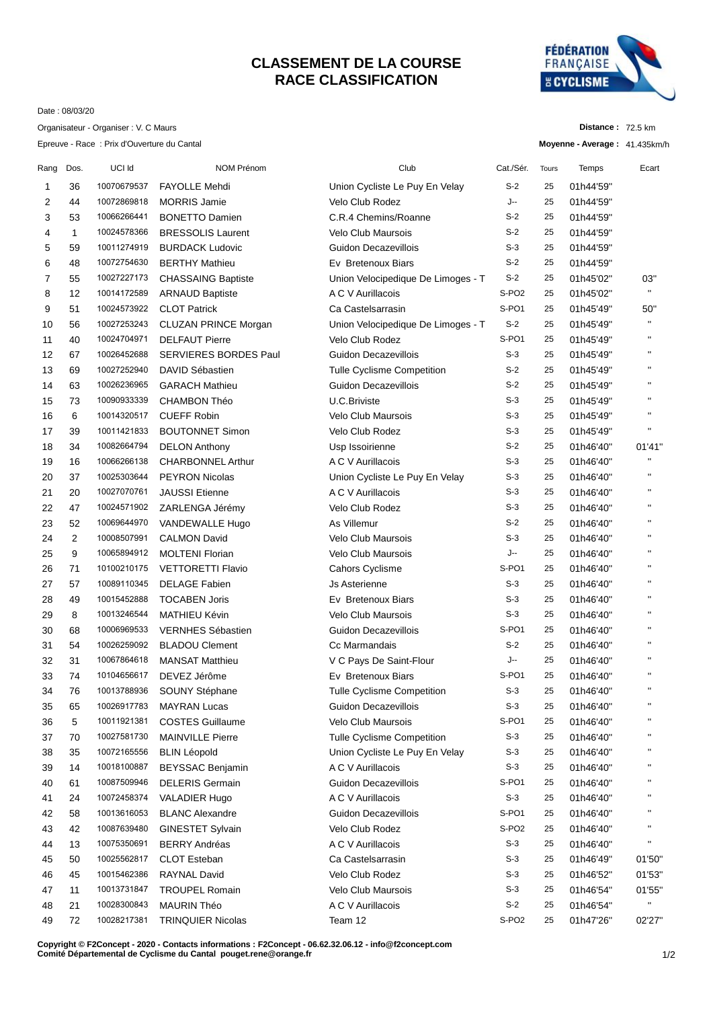## **CLASSEMENT DE LA COURSE RACE CLASSIFICATION**



**Distance :** 72.5 km

Date : 08/03/20

Organisateur - Organiser : V. C Maurs

Epreuve - Race : Prix d'Ouverture du Cantal

|      |              | Epreuve - Race : Prix d'Ouverture du Cantal |                              |                                    |                   |       | Moyenne - Average: 41.435km/h |                    |
|------|--------------|---------------------------------------------|------------------------------|------------------------------------|-------------------|-------|-------------------------------|--------------------|
| Rang | Dos.         | UCI Id                                      | NOM Prénom                   | Club                               | Cat./Sér.         | Tours | Temps                         | Ecart              |
| 1    | 36           | 10070679537                                 | <b>FAYOLLE Mehdi</b>         | Union Cycliste Le Puy En Velay     | $S-2$             | 25    | 01h44'59"                     |                    |
| 2    | 44           | 10072869818                                 | <b>MORRIS Jamie</b>          | <b>Velo Club Rodez</b>             | J--               | 25    | 01h44'59"                     |                    |
| 3    | 53           | 10066266441                                 | <b>BONETTO Damien</b>        | C.R.4 Chemins/Roanne               | $S-2$             | 25    | 01h44'59"                     |                    |
| 4    | $\mathbf{1}$ | 10024578366                                 | <b>BRESSOLIS Laurent</b>     | <b>Velo Club Maursois</b>          | $S-2$             | 25    | 01h44'59"                     |                    |
| 5    | 59           | 10011274919                                 | <b>BURDACK Ludovic</b>       | Guidon Decazevillois               | $S-3$             | 25    | 01h44'59"                     |                    |
| 6    | 48           | 10072754630                                 | <b>BERTHY Mathieu</b>        | Ev Bretenoux Biars                 | $S-2$             | 25    | 01h44'59"                     |                    |
| 7    | 55           | 10027227173                                 | <b>CHASSAING Baptiste</b>    | Union Velocipedique De Limoges - T | $S-2$             | 25    | 01h45'02"                     | 03"                |
| 8    | 12           | 10014172589                                 | <b>ARNAUD Baptiste</b>       | A C V Aurillacois                  | S-PO <sub>2</sub> | 25    | 01h45'02"                     | $\mathbf{H}$       |
| 9    | 51           | 10024573922                                 | <b>CLOT Patrick</b>          | Ca Castelsarrasin                  | S-PO1             | 25    | 01h45'49"                     | 50"                |
| 10   | 56           | 10027253243                                 | CLUZAN PRINCE Morgan         | Union Velocipedique De Limoges - T | $S-2$             | 25    | 01h45'49"                     | $\mathbf{H}$       |
| 11   | 40           | 10024704971                                 | <b>DELFAUT Pierre</b>        | Velo Club Rodez                    | S-PO1             | 25    | 01h45'49"                     | $\mathbf{H}$       |
| 12   | 67           | 10026452688                                 | <b>SERVIERES BORDES Paul</b> | Guidon Decazevillois               | $S-3$             | 25    | 01h45'49"                     | $\mathbf{H}$       |
| 13   | 69           | 10027252940                                 | DAVID Sébastien              | <b>Tulle Cyclisme Competition</b>  | $S-2$             | 25    | 01h45'49"                     | $\mathbf{H}$       |
| 14   | 63           | 10026236965                                 | <b>GARACH Mathieu</b>        | Guidon Decazevillois               | $S-2$             | 25    | 01h45'49"                     | $\mathbf{H}$       |
| 15   | 73           | 10090933339                                 | CHAMBON Théo                 | U.C.Briviste                       | $S-3$             | 25    | 01h45'49"                     | $\mathbf{H}$       |
| 16   | 6            | 10014320517                                 | <b>CUEFF Robin</b>           | <b>Velo Club Maursois</b>          | $S-3$             | 25    | 01h45'49"                     | $\mathbf{H}$       |
| 17   | 39           | 10011421833                                 | <b>BOUTONNET Simon</b>       | Velo Club Rodez                    | $S-3$             | 25    | 01h45'49"                     | $\mathbf{H}$       |
| 18   | 34           | 10082664794                                 | <b>DELON Anthony</b>         | Usp Issoirienne                    | $S-2$             | 25    | 01h46'40"                     | 01'41"             |
| 19   | 16           | 10066266138                                 | <b>CHARBONNEL Arthur</b>     | A C V Aurillacois                  | $S-3$             | 25    | 01h46'40"                     | $\mathbf{H}$       |
| 20   | 37           | 10025303644                                 | <b>PEYRON Nicolas</b>        | Union Cycliste Le Puy En Velay     | $S-3$             | 25    | 01h46'40"                     | $\mathbf{H}$       |
| 21   | 20           | 10027070761                                 | <b>JAUSSI</b> Etienne        | A C V Aurillacois                  | $S-3$             | 25    | 01h46'40"                     | $\blacksquare$     |
| 22   | 47           | 10024571902                                 | ZARLENGA Jérémy              | Velo Club Rodez                    | $S-3$             | 25    | 01h46'40"                     | $\mathbf{H}$       |
| 23   | 52           | 10069644970                                 | VANDEWALLE Hugo              | As Villemur                        | $S-2$             | 25    | 01h46'40"                     | $\mathbf{H}$       |
| 24   | 2            | 10008507991                                 | <b>CALMON David</b>          | Velo Club Maursois                 | $S-3$             | 25    | 01h46'40"                     | $\mathbf{H}$       |
| 25   | 9            | 10065894912                                 | <b>MOLTENI Florian</b>       | <b>Velo Club Maursois</b>          | J--               | 25    | 01h46'40"                     | $\mathbf{H}$       |
| 26   | 71           | 10100210175                                 | <b>VETTORETTI Flavio</b>     | Cahors Cyclisme                    | S-PO1             | 25    | 01h46'40"                     | $\pmb{\mathsf{H}}$ |
| 27   | 57           | 10089110345                                 | <b>DELAGE Fabien</b>         | Js Asterienne                      | $S-3$             | 25    | 01h46'40"                     | $\mathbf{H}$       |
| 28   | 49           | 10015452888                                 | <b>TOCABEN Joris</b>         | Ev Bretenoux Biars                 | $S-3$             | 25    | 01h46'40"                     | $\mathbf{H}$       |
| 29   | 8            | 10013246544                                 | <b>MATHIEU Kévin</b>         | <b>Velo Club Maursois</b>          | $S-3$             | 25    | 01h46'40"                     | $\mathbf{H}$       |
| 30   | 68           | 10006969533                                 | <b>VERNHES Sébastien</b>     | Guidon Decazevillois               | S-PO1             | 25    | 01h46'40"                     | $\mathbf{H}$       |
| 31   | 54           | 10026259092                                 | <b>BLADOU Clement</b>        | Cc Marmandais                      | $S-2$             | 25    | 01h46'40"                     | $\mathbf{H}$       |
| 32   | 31           | 10067864618                                 | <b>MANSAT Matthieu</b>       | V C Pays De Saint-Flour            | J--               | 25    | 01h46'40"                     | $\mathbf{H}$       |
| 33   | 74           | 10104656617                                 | DEVEZ Jérôme                 | Ev Bretenoux Biars                 | S-PO1             | 25    | 01h46'40"                     | $\mathbf{H}$       |
| 34   | 76           | 10013788936                                 | SOUNY Stéphane               | Tulle Cyclisme Competition         | $S-3$             | 25    | 01h46'40"                     | $\mathbf{H}$       |
| 35   | 65           | 10026917783                                 | <b>MAYRAN Lucas</b>          | <b>Guidon Decazevillois</b>        | $S-3$             | 25    | 01h46'40"                     | п                  |
| 36   | 5            | 10011921381                                 | <b>COSTES Guillaume</b>      | <b>Velo Club Maursois</b>          | S-PO1             | 25    | 01h46'40"                     | п                  |
| 37   | 70           | 10027581730                                 | <b>MAINVILLE Pierre</b>      | <b>Tulle Cyclisme Competition</b>  | $S-3$             | 25    | 01h46'40"                     | п                  |
| 38   | 35           | 10072165556                                 | <b>BLIN Léopold</b>          | Union Cycliste Le Puy En Velay     | $S-3$             | 25    | 01h46'40"                     | $\mathbf{H}$       |
| 39   | 14           | 10018100887                                 | BEYSSAC Benjamin             | A C V Aurillacois                  | $S-3$             | 25    | 01h46'40"                     | п                  |
| 40   | 61           | 10087509946                                 | <b>DELERIS Germain</b>       | Guidon Decazevillois               | S-PO1             | 25    | 01h46'40"                     | н                  |
| 41   | 24           | 10072458374                                 | VALADIER Hugo                | A C V Aurillacois                  | $S-3$             | 25    | 01h46'40"                     |                    |
| 42   | 58           | 10013616053                                 | <b>BLANC Alexandre</b>       | Guidon Decazevillois               | S-PO1             | 25    | 01h46'40"                     | н                  |
| 43   | 42           | 10087639480                                 | <b>GINESTET Sylvain</b>      | Velo Club Rodez                    | S-PO <sub>2</sub> | 25    | 01h46'40"                     | п                  |
| 44   | 13           | 10075350691                                 | <b>BERRY Andréas</b>         | A C V Aurillacois                  | $S-3$             | 25    | 01h46'40"                     | н                  |
| 45   | 50           | 10025562817                                 | <b>CLOT Esteban</b>          | Ca Castelsarrasin                  | $S-3$             | 25    | 01h46'49"                     | 01'50"             |
| 46   | 45           | 10015462386                                 | <b>RAYNAL David</b>          | Velo Club Rodez                    | $S-3$             | 25    | 01h46'52"                     | 01'53"             |
| 47   | 11           | 10013731847                                 | <b>TROUPEL Romain</b>        | Velo Club Maursois                 | $S-3$             | 25    | 01h46'54"                     | 01'55"             |
| 48   | 21           | 10028300843                                 | MAURIN Théo                  | A C V Aurillacois                  | $S-2$             | 25    | 01h46'54"                     | $\mathbf{H}$       |
| 49   | 72           | 10028217381                                 | <b>TRINQUIER Nicolas</b>     | Team 12                            | S-PO <sub>2</sub> | 25    | 01h47'26"                     | 02'27"             |
|      |              |                                             |                              |                                    |                   |       |                               |                    |

**Copyright © F2Concept - 2020 - Contacts informations : F2Concept - 06.62.32.06.12 - info@f2concept.com Comité Départemental de Cyclisme du Cantal pouget.rene@orange.fr**